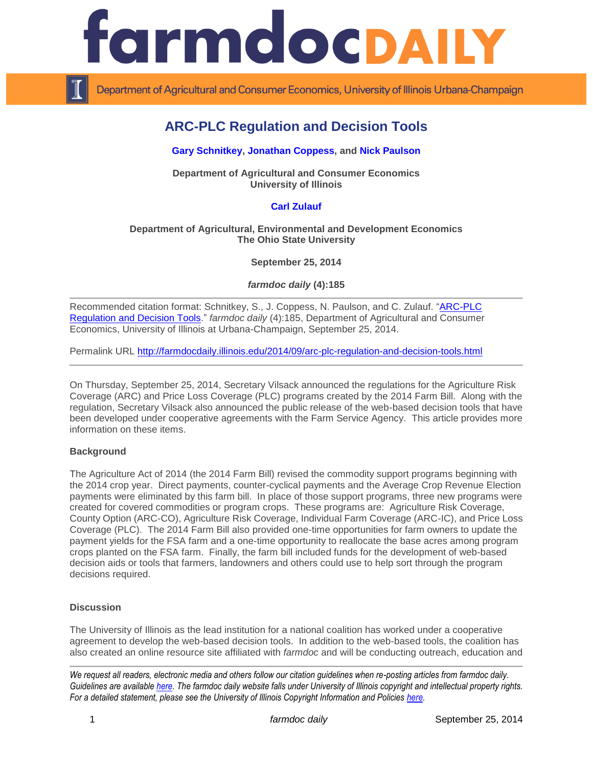

Department of Agricultural and Consumer Economics, University of Illinois Urbana-Champaign

# **ARC-PLC Regulation and Decision Tools**

## **[Gary Schnitkey,](http://farmdoc.illinois.edu/schnitkey) [Jonathan Coppess,](http://farmdoc.illinois.edu/coppess) and [Nick Paulson](http://www.farmdoc.illinois.edu/paulson)**

**Department of Agricultural and Consumer Economics University of Illinois**

## **[Carl Zulauf](http://aede.osu.edu/our-people/carl-zulauf)**

#### **Department of Agricultural, Environmental and Development Economics The Ohio State University**

**September 25, 2014**

*farmdoc daily* **(4):185**

Recommended citation format: Schnitkey, S., J. Coppess, N. Paulson, and C. Zulauf. "ARC-PLC [Regulation and Decision Tools.](http://farmdocdaily.illinois.edu/2014/09/arc-plc-regulation-and-decision-tools.html)" *farmdoc daily* (4):185, Department of Agricultural and Consumer Economics, University of Illinois at Urbana-Champaign, September 25, 2014.

Permalink URL<http://farmdocdaily.illinois.edu/2014/09/arc-plc-regulation-and-decision-tools.html>

On Thursday, September 25, 2014, Secretary Vilsack announced the regulations for the Agriculture Risk Coverage (ARC) and Price Loss Coverage (PLC) programs created by the 2014 Farm Bill. Along with the regulation, Secretary Vilsack also announced the public release of the web-based decision tools that have been developed under cooperative agreements with the Farm Service Agency. This article provides more information on these items.

## **Background**

The Agriculture Act of 2014 (the 2014 Farm Bill) revised the commodity support programs beginning with the 2014 crop year. Direct payments, counter-cyclical payments and the Average Crop Revenue Election payments were eliminated by this farm bill. In place of those support programs, three new programs were created for covered commodities or program crops. These programs are: Agriculture Risk Coverage, County Option (ARC-CO), Agriculture Risk Coverage, Individual Farm Coverage (ARC-IC), and Price Loss Coverage (PLC). The 2014 Farm Bill also provided one-time opportunities for farm owners to update the payment yields for the FSA farm and a one-time opportunity to reallocate the base acres among program crops planted on the FSA farm. Finally, the farm bill included funds for the development of web-based decision aids or tools that farmers, landowners and others could use to help sort through the program decisions required.

#### **Discussion**

The University of Illinois as the lead institution for a national coalition has worked under a cooperative agreement to develop the web-based decision tools. In addition to the web-based tools, the coalition has also created an online resource site affiliated with *farmdoc* and will be conducting outreach, education and

*We request all readers, electronic media and others follow our citation guidelines when re-posting articles from farmdoc daily. Guidelines are available [here.](http://farmdocdaily.illinois.edu/citationguide.html) The farmdoc daily website falls under University of Illinois copyright and intellectual property rights. For a detailed statement, please see the University of Illinois Copyright Information and Policies [here.](http://www.cio.illinois.edu/policies/copyright/)*